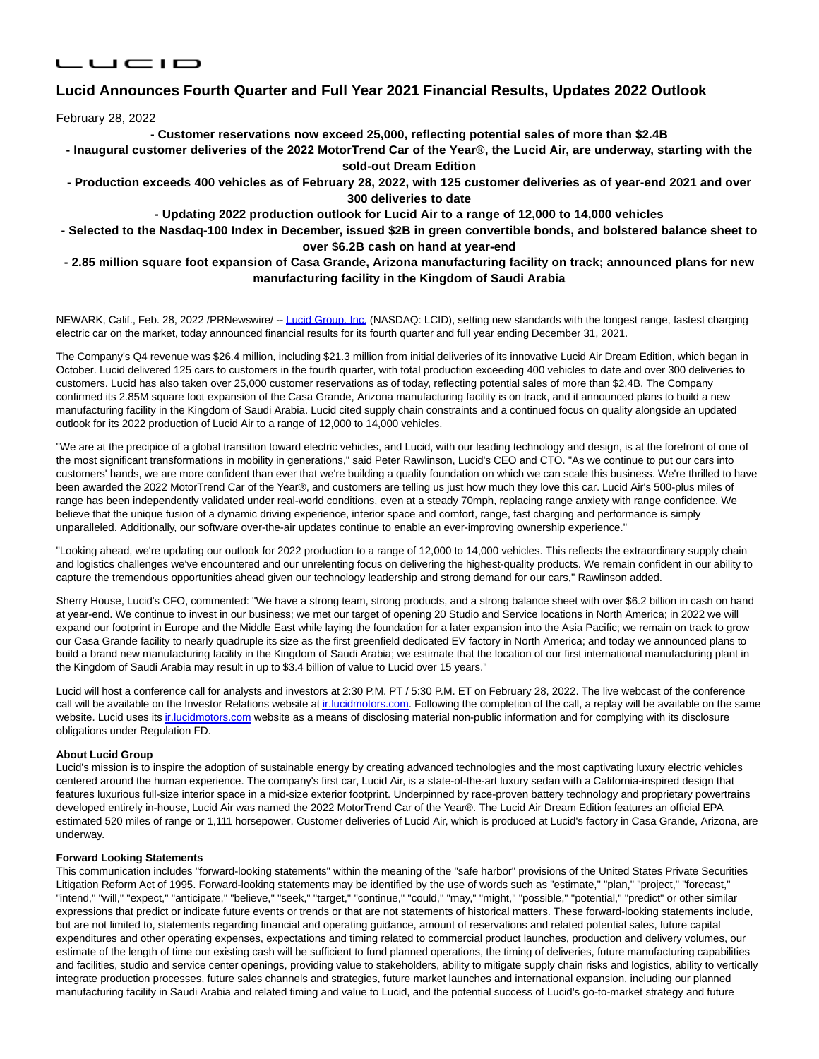# 

## **Lucid Announces Fourth Quarter and Full Year 2021 Financial Results, Updates 2022 Outlook**

February 28, 2022

**- Customer reservations now exceed 25,000, reflecting potential sales of more than \$2.4B**

**- Inaugural customer deliveries of the 2022 MotorTrend Car of the Year®, the Lucid Air, are underway, starting with the sold-out Dream Edition**

**- Production exceeds 400 vehicles as of February 28, 2022, with 125 customer deliveries as of year-end 2021 and over 300 deliveries to date**

**- Updating 2022 production outlook for Lucid Air to a range of 12,000 to 14,000 vehicles**

### **- Selected to the Nasdaq-100 Index in December, issued \$2B in green convertible bonds, and bolstered balance sheet to over \$6.2B cash on hand at year-end**

**- 2.85 million square foot expansion of Casa Grande, Arizona manufacturing facility on track; announced plans for new manufacturing facility in the Kingdom of Saudi Arabia**

NEWARK, Calif., Feb. 28, 2022 /PRNewswire/ -[- Lucid Group, Inc. \(](https://c212.net/c/link/?t=0&l=en&o=3457943-1&h=3160788565&u=https%3A%2F%2Fwww.lucidmotors.com%2F&a=Lucid+Group%2C+Inc.)NASDAQ: LCID), setting new standards with the longest range, fastest charging electric car on the market, today announced financial results for its fourth quarter and full year ending December 31, 2021.

The Company's Q4 revenue was \$26.4 million, including \$21.3 million from initial deliveries of its innovative Lucid Air Dream Edition, which began in October. Lucid delivered 125 cars to customers in the fourth quarter, with total production exceeding 400 vehicles to date and over 300 deliveries to customers. Lucid has also taken over 25,000 customer reservations as of today, reflecting potential sales of more than \$2.4B. The Company confirmed its 2.85M square foot expansion of the Casa Grande, Arizona manufacturing facility is on track, and it announced plans to build a new manufacturing facility in the Kingdom of Saudi Arabia. Lucid cited supply chain constraints and a continued focus on quality alongside an updated outlook for its 2022 production of Lucid Air to a range of 12,000 to 14,000 vehicles.

"We are at the precipice of a global transition toward electric vehicles, and Lucid, with our leading technology and design, is at the forefront of one of the most significant transformations in mobility in generations," said Peter Rawlinson, Lucid's CEO and CTO. "As we continue to put our cars into customers' hands, we are more confident than ever that we're building a quality foundation on which we can scale this business. We're thrilled to have been awarded the 2022 MotorTrend Car of the Year®, and customers are telling us just how much they love this car. Lucid Air's 500-plus miles of range has been independently validated under real-world conditions, even at a steady 70mph, replacing range anxiety with range confidence. We believe that the unique fusion of a dynamic driving experience, interior space and comfort, range, fast charging and performance is simply unparalleled. Additionally, our software over-the-air updates continue to enable an ever-improving ownership experience."

"Looking ahead, we're updating our outlook for 2022 production to a range of 12,000 to 14,000 vehicles. This reflects the extraordinary supply chain and logistics challenges we've encountered and our unrelenting focus on delivering the highest-quality products. We remain confident in our ability to capture the tremendous opportunities ahead given our technology leadership and strong demand for our cars," Rawlinson added.

Sherry House, Lucid's CFO, commented: "We have a strong team, strong products, and a strong balance sheet with over \$6.2 billion in cash on hand at year-end. We continue to invest in our business; we met our target of opening 20 Studio and Service locations in North America; in 2022 we will expand our footprint in Europe and the Middle East while laying the foundation for a later expansion into the Asia Pacific; we remain on track to grow our Casa Grande facility to nearly quadruple its size as the first greenfield dedicated EV factory in North America; and today we announced plans to build a brand new manufacturing facility in the Kingdom of Saudi Arabia; we estimate that the location of our first international manufacturing plant in the Kingdom of Saudi Arabia may result in up to \$3.4 billion of value to Lucid over 15 years."

Lucid will host a conference call for analysts and investors at 2:30 P.M. PT / 5:30 P.M. ET on February 28, 2022. The live webcast of the conference call will be available on the Investor Relations website at inlucidmotors.com. Following the completion of the call, a replay will be available on the same website. Lucid uses it[s ir.lucidmotors.com w](http://ir.lucidmotors.com/)ebsite as a means of disclosing material non-public information and for complying with its disclosure obligations under Regulation FD.

### **About Lucid Group**

Lucid's mission is to inspire the adoption of sustainable energy by creating advanced technologies and the most captivating luxury electric vehicles centered around the human experience. The company's first car, Lucid Air, is a state-of-the-art luxury sedan with a California-inspired design that features luxurious full-size interior space in a mid-size exterior footprint. Underpinned by race-proven battery technology and proprietary powertrains developed entirely in-house, Lucid Air was named the 2022 MotorTrend Car of the Year®. The Lucid Air Dream Edition features an official EPA estimated 520 miles of range or 1,111 horsepower. Customer deliveries of Lucid Air, which is produced at Lucid's factory in Casa Grande, Arizona, are underway.

#### **Forward Looking Statements**

This communication includes "forward-looking statements" within the meaning of the "safe harbor" provisions of the United States Private Securities Litigation Reform Act of 1995. Forward-looking statements may be identified by the use of words such as "estimate," "plan," "project," "forecast," "intend," "will," "expect," "anticipate," "believe," "seek," "target," "continue," "could," "may," "might," "possible," "potential," "predict" or other similar expressions that predict or indicate future events or trends or that are not statements of historical matters. These forward-looking statements include, but are not limited to, statements regarding financial and operating guidance, amount of reservations and related potential sales, future capital expenditures and other operating expenses, expectations and timing related to commercial product launches, production and delivery volumes, our estimate of the length of time our existing cash will be sufficient to fund planned operations, the timing of deliveries, future manufacturing capabilities and facilities, studio and service center openings, providing value to stakeholders, ability to mitigate supply chain risks and logistics, ability to vertically integrate production processes, future sales channels and strategies, future market launches and international expansion, including our planned manufacturing facility in Saudi Arabia and related timing and value to Lucid, and the potential success of Lucid's go-to-market strategy and future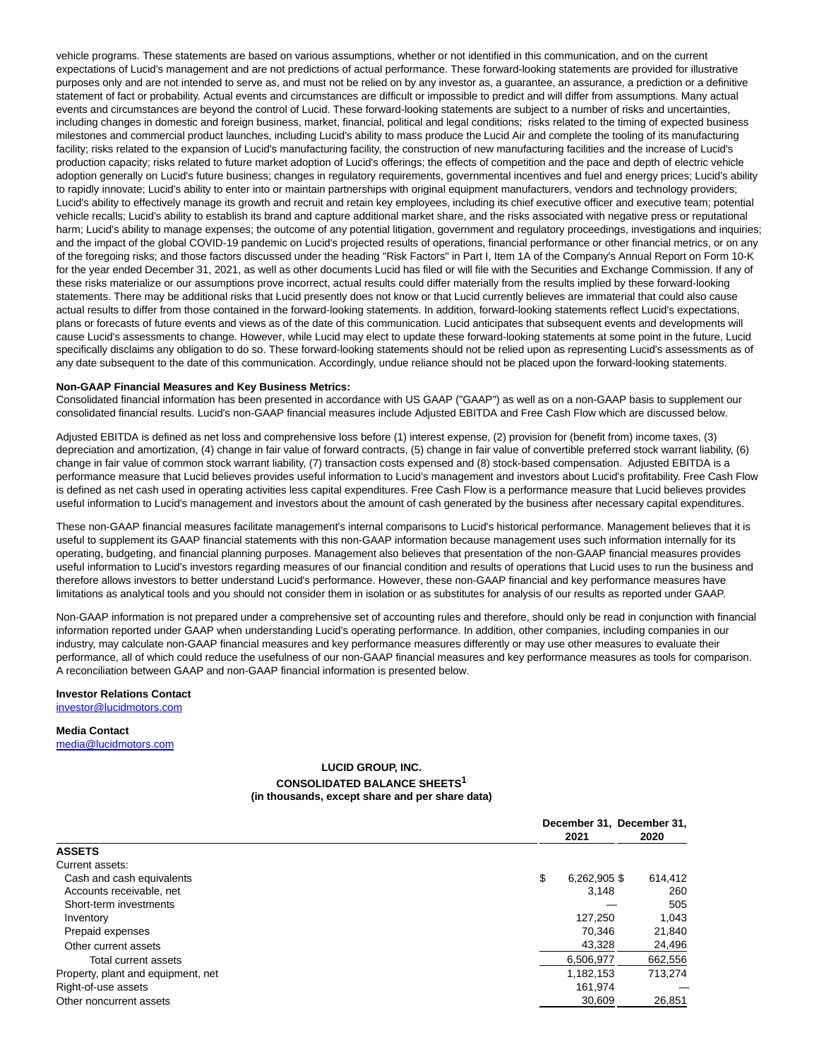vehicle programs. These statements are based on various assumptions, whether or not identified in this communication, and on the current expectations of Lucid's management and are not predictions of actual performance. These forward-looking statements are provided for illustrative purposes only and are not intended to serve as, and must not be relied on by any investor as, a guarantee, an assurance, a prediction or a definitive statement of fact or probability. Actual events and circumstances are difficult or impossible to predict and will differ from assumptions. Many actual events and circumstances are beyond the control of Lucid. These forward-looking statements are subject to a number of risks and uncertainties, including changes in domestic and foreign business, market, financial, political and legal conditions; risks related to the timing of expected business milestones and commercial product launches, including Lucid's ability to mass produce the Lucid Air and complete the tooling of its manufacturing facility; risks related to the expansion of Lucid's manufacturing facility, the construction of new manufacturing facilities and the increase of Lucid's production capacity; risks related to future market adoption of Lucid's offerings; the effects of competition and the pace and depth of electric vehicle adoption generally on Lucid's future business; changes in regulatory requirements, governmental incentives and fuel and energy prices; Lucid's ability to rapidly innovate; Lucid's ability to enter into or maintain partnerships with original equipment manufacturers, vendors and technology providers; Lucid's ability to effectively manage its growth and recruit and retain key employees, including its chief executive officer and executive team; potential vehicle recalls; Lucid's ability to establish its brand and capture additional market share, and the risks associated with negative press or reputational harm; Lucid's ability to manage expenses; the outcome of any potential litigation, government and regulatory proceedings, investigations and inquiries; and the impact of the global COVID-19 pandemic on Lucid's projected results of operations, financial performance or other financial metrics, or on any of the foregoing risks; and those factors discussed under the heading "Risk Factors" in Part I, Item 1A of the Company's Annual Report on Form 10-K for the year ended December 31, 2021, as well as other documents Lucid has filed or will file with the Securities and Exchange Commission. If any of these risks materialize or our assumptions prove incorrect, actual results could differ materially from the results implied by these forward-looking statements. There may be additional risks that Lucid presently does not know or that Lucid currently believes are immaterial that could also cause actual results to differ from those contained in the forward-looking statements. In addition, forward-looking statements reflect Lucid's expectations, plans or forecasts of future events and views as of the date of this communication. Lucid anticipates that subsequent events and developments will cause Lucid's assessments to change. However, while Lucid may elect to update these forward-looking statements at some point in the future, Lucid specifically disclaims any obligation to do so. These forward-looking statements should not be relied upon as representing Lucid's assessments as of any date subsequent to the date of this communication. Accordingly, undue reliance should not be placed upon the forward-looking statements.

#### **Non-GAAP Financial Measures and Key Business Metrics:**

Consolidated financial information has been presented in accordance with US GAAP ("GAAP") as well as on a non-GAAP basis to supplement our consolidated financial results. Lucid's non-GAAP financial measures include Adjusted EBITDA and Free Cash Flow which are discussed below.

Adjusted EBITDA is defined as net loss and comprehensive loss before (1) interest expense, (2) provision for (benefit from) income taxes, (3) depreciation and amortization, (4) change in fair value of forward contracts, (5) change in fair value of convertible preferred stock warrant liability, (6) change in fair value of common stock warrant liability, (7) transaction costs expensed and (8) stock-based compensation. Adjusted EBITDA is a performance measure that Lucid believes provides useful information to Lucid's management and investors about Lucid's profitability. Free Cash Flow is defined as net cash used in operating activities less capital expenditures. Free Cash Flow is a performance measure that Lucid believes provides useful information to Lucid's management and investors about the amount of cash generated by the business after necessary capital expenditures.

These non-GAAP financial measures facilitate management's internal comparisons to Lucid's historical performance. Management believes that it is useful to supplement its GAAP financial statements with this non-GAAP information because management uses such information internally for its operating, budgeting, and financial planning purposes. Management also believes that presentation of the non-GAAP financial measures provides useful information to Lucid's investors regarding measures of our financial condition and results of operations that Lucid uses to run the business and therefore allows investors to better understand Lucid's performance. However, these non-GAAP financial and key performance measures have limitations as analytical tools and you should not consider them in isolation or as substitutes for analysis of our results as reported under GAAP.

Non-GAAP information is not prepared under a comprehensive set of accounting rules and therefore, should only be read in conjunction with financial information reported under GAAP when understanding Lucid's operating performance. In addition, other companies, including companies in our industry, may calculate non-GAAP financial measures and key performance measures differently or may use other measures to evaluate their performance, all of which could reduce the usefulness of our non-GAAP financial measures and key performance measures as tools for comparison. A reconciliation between GAAP and non-GAAP financial information is presented below.

#### **Investor Relations Contact** [investor@lucidmotors.com](mailto:investor@lucidmotors.com)

**Media Contact** [media@lucidmotors.com](mailto:media@lucidmotors.com)

### **LUCID GROUP, INC. CONSOLIDATED BALANCE SHEETS1 (in thousands, except share and per share data)**

|                                    | December 31, December 31,<br>2021 |              | 2020    |  |
|------------------------------------|-----------------------------------|--------------|---------|--|
| <b>ASSETS</b>                      |                                   |              |         |  |
| Current assets:                    |                                   |              |         |  |
| Cash and cash equivalents          | \$                                | 6,262,905 \$ | 614,412 |  |
| Accounts receivable, net           |                                   | 3.148        | 260     |  |
| Short-term investments             |                                   |              | 505     |  |
| Inventory                          |                                   | 127.250      | 1,043   |  |
| Prepaid expenses                   |                                   | 70.346       | 21,840  |  |
| Other current assets               |                                   | 43,328       | 24,496  |  |
| Total current assets               |                                   | 6.506.977    | 662,556 |  |
| Property, plant and equipment, net |                                   | 1,182,153    | 713.274 |  |
| Right-of-use assets                |                                   | 161.974      |         |  |
| Other noncurrent assets            |                                   | 30,609       | 26,851  |  |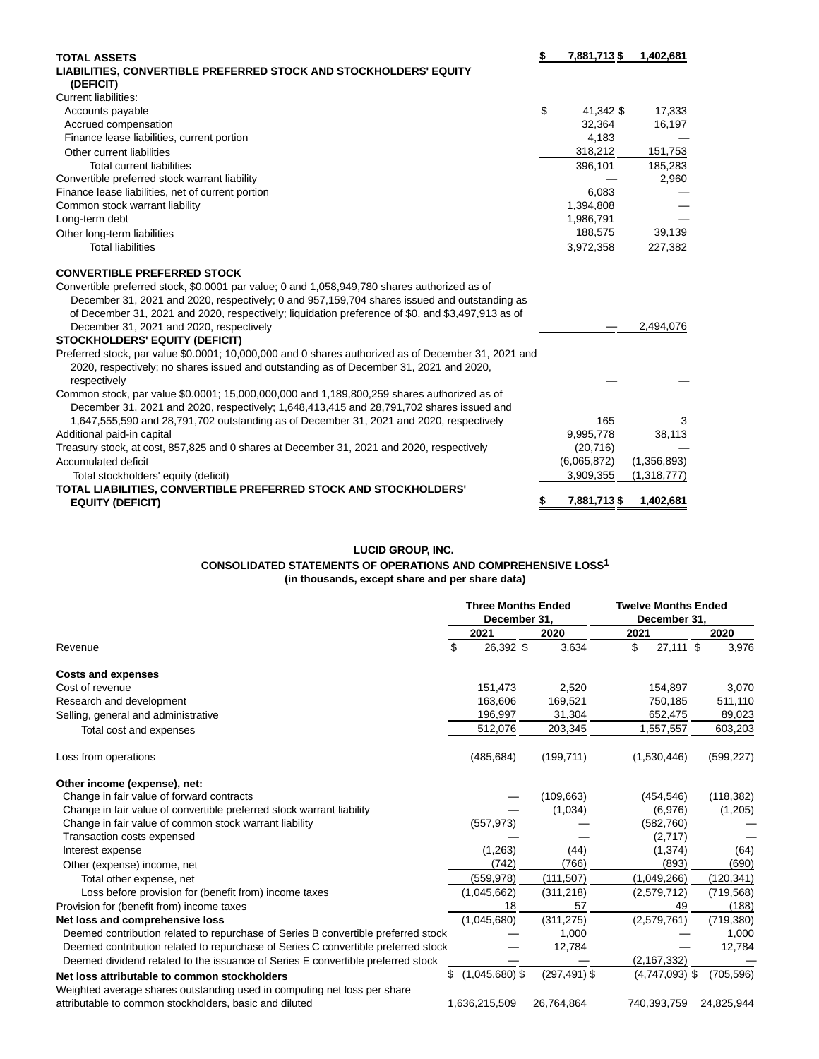| <b>TOTAL ASSETS</b>                                                                                 | 7,881,713\$       | 1,402,681   |
|-----------------------------------------------------------------------------------------------------|-------------------|-------------|
| LIABILITIES, CONVERTIBLE PREFERRED STOCK AND STOCKHOLDERS' EQUITY                                   |                   |             |
| (DEFICIT)                                                                                           |                   |             |
| <b>Current liabilities:</b>                                                                         |                   |             |
| Accounts payable                                                                                    | \$<br>41,342 \$   | 17,333      |
| Accrued compensation                                                                                | 32.364            | 16,197      |
| Finance lease liabilities, current portion                                                          | 4,183             |             |
| Other current liabilities                                                                           | 318,212           | 151,753     |
| <b>Total current liabilities</b>                                                                    | 396,101           | 185,283     |
| Convertible preferred stock warrant liability                                                       |                   | 2,960       |
| Finance lease liabilities, net of current portion                                                   | 6,083             |             |
| Common stock warrant liability                                                                      | 1,394,808         |             |
| Long-term debt                                                                                      | 1,986,791         |             |
| Other long-term liabilities                                                                         | 188,575           | 39,139      |
| <b>Total liabilities</b>                                                                            | 3,972,358         | 227,382     |
| <b>CONVERTIBLE PREFERRED STOCK</b>                                                                  |                   |             |
| Convertible preferred stock, \$0.0001 par value; 0 and 1,058,949,780 shares authorized as of        |                   |             |
| December 31, 2021 and 2020, respectively; 0 and 957,159,704 shares issued and outstanding as        |                   |             |
| of December 31, 2021 and 2020, respectively; liquidation preference of \$0, and \$3,497,913 as of   |                   |             |
| December 31, 2021 and 2020, respectively                                                            |                   | 2,494,076   |
| <b>STOCKHOLDERS' EQUITY (DEFICIT)</b>                                                               |                   |             |
| Preferred stock, par value \$0.0001; 10,000,000 and 0 shares authorized as of December 31, 2021 and |                   |             |
| 2020, respectively; no shares issued and outstanding as of December 31, 2021 and 2020,              |                   |             |
| respectively                                                                                        |                   |             |
| Common stock, par value \$0.0001; 15,000,000,000 and 1,189,800,259 shares authorized as of          |                   |             |
| December 31, 2021 and 2020, respectively; 1,648,413,415 and 28,791,702 shares issued and            |                   |             |
| 1,647,555,590 and 28,791,702 outstanding as of December 31, 2021 and 2020, respectively             | 165               | 3           |
| Additional paid-in capital                                                                          | 9,995,778         | 38,113      |
| Treasury stock, at cost, 857,825 and 0 shares at December 31, 2021 and 2020, respectively           | (20, 716)         |             |
| Accumulated deficit                                                                                 | (6,065,872)       | (1,356,893) |
| Total stockholders' equity (deficit)                                                                | 3,909,355         | (1,318,777) |
| TOTAL LIABILITIES, CONVERTIBLE PREFERRED STOCK AND STOCKHOLDERS'                                    |                   |             |
| <b>EQUITY (DEFICIT)</b>                                                                             | \$<br>7,881,713\$ | 1,402,681   |

## **LUCID GROUP, INC.**

## **CONSOLIDATED STATEMENTS OF OPERATIONS AND COMPREHENSIVE LOSS1**

**(in thousands, except share and per share data)**

|                                                                                   |    | <b>Three Months Ended</b><br>December 31. |                 |       |      | <b>Twelve Months Ended</b><br>December 31, |  |            |  |
|-----------------------------------------------------------------------------------|----|-------------------------------------------|-----------------|-------|------|--------------------------------------------|--|------------|--|
|                                                                                   |    |                                           |                 |       |      |                                            |  |            |  |
|                                                                                   |    | 2021                                      | 2020            |       | 2021 |                                            |  | 2020       |  |
| Revenue                                                                           | \$ | 26,392 \$                                 |                 | 3,634 | \$   | 27,111 \$                                  |  | 3,976      |  |
| <b>Costs and expenses</b>                                                         |    |                                           |                 |       |      |                                            |  |            |  |
| Cost of revenue                                                                   |    | 151,473                                   |                 | 2,520 |      | 154,897                                    |  | 3,070      |  |
| Research and development                                                          |    | 163,606                                   | 169,521         |       |      | 750,185                                    |  | 511,110    |  |
| Selling, general and administrative                                               |    | 196,997                                   | 31,304          |       |      | 652,475                                    |  | 89,023     |  |
| Total cost and expenses                                                           |    | 512,076                                   | 203,345         |       |      | 1,557,557                                  |  | 603,203    |  |
| Loss from operations                                                              |    | (485, 684)                                | (199, 711)      |       |      | (1,530,446)                                |  | (599, 227) |  |
| Other income (expense), net:                                                      |    |                                           |                 |       |      |                                            |  |            |  |
| Change in fair value of forward contracts                                         |    |                                           | (109, 663)      |       |      | (454, 546)                                 |  | (118, 382) |  |
| Change in fair value of convertible preferred stock warrant liability             |    |                                           | (1,034)         |       |      | (6,976)                                    |  | (1,205)    |  |
| Change in fair value of common stock warrant liability                            |    | (557, 973)                                |                 |       |      | (582, 760)                                 |  |            |  |
| Transaction costs expensed                                                        |    |                                           |                 |       |      | (2,717)                                    |  |            |  |
| Interest expense                                                                  |    | (1,263)                                   |                 | (44)  |      | (1, 374)                                   |  | (64)       |  |
| Other (expense) income, net                                                       |    | (742)                                     |                 | (766) |      | (893)                                      |  | (690)      |  |
| Total other expense, net                                                          |    | (559, 978)                                | (111, 507)      |       |      | (1,049,266)                                |  | (120, 341) |  |
| Loss before provision for (benefit from) income taxes                             |    | (1,045,662)                               | (311, 218)      |       |      | (2,579,712)                                |  | (719, 568) |  |
| Provision for (benefit from) income taxes                                         |    | 18                                        |                 | 57    |      | 49                                         |  | (188)      |  |
| Net loss and comprehensive loss                                                   |    | (1,045,680)                               | (311, 275)      |       |      | (2,579,761)                                |  | (719, 380) |  |
| Deemed contribution related to repurchase of Series B convertible preferred stock |    |                                           |                 | 1,000 |      |                                            |  | 1,000      |  |
| Deemed contribution related to repurchase of Series C convertible preferred stock |    |                                           | 12,784          |       |      |                                            |  | 12,784     |  |
| Deemed dividend related to the issuance of Series E convertible preferred stock   |    |                                           |                 |       |      | (2, 167, 332)                              |  |            |  |
| Net loss attributable to common stockholders                                      |    | $(1,045,680)$ \$                          | $(297, 491)$ \$ |       |      | $(4,747,093)$ \$                           |  | (705, 596) |  |
| Weighted average shares outstanding used in computing net loss per share          |    |                                           |                 |       |      |                                            |  |            |  |
| attributable to common stockholders, basic and diluted                            |    | 1,636,215,509                             | 26,764,864      |       |      | 740,393,759                                |  | 24,825,944 |  |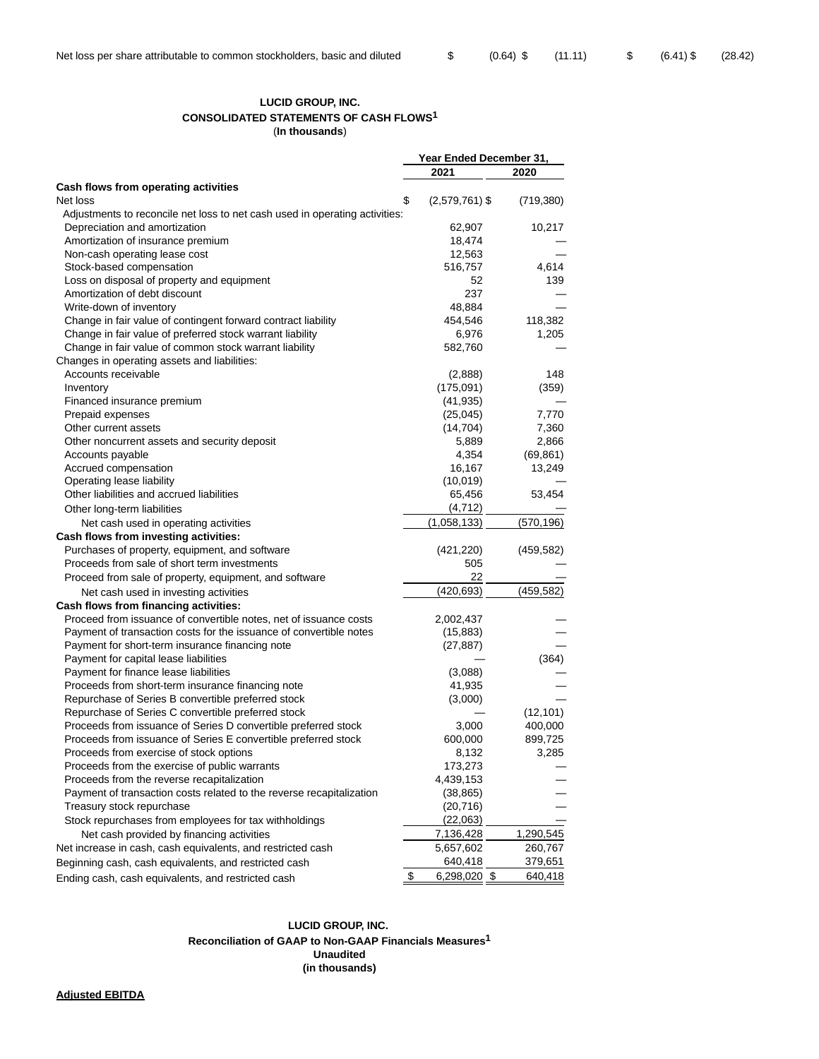### **LUCID GROUP, INC. CONSOLIDATED STATEMENTS OF CASH FLOWS1** (**In thousands**)

|                                                                             | Year Ended December 31,       |            |  |
|-----------------------------------------------------------------------------|-------------------------------|------------|--|
|                                                                             | 2021                          | 2020       |  |
| Cash flows from operating activities                                        |                               |            |  |
| Net loss                                                                    | \$<br>$(2,579,761)$ \$        | (719, 380) |  |
| Adjustments to reconcile net loss to net cash used in operating activities: |                               |            |  |
| Depreciation and amortization                                               | 62,907                        | 10,217     |  |
| Amortization of insurance premium                                           | 18,474                        |            |  |
| Non-cash operating lease cost                                               | 12,563                        |            |  |
| Stock-based compensation                                                    | 516,757                       | 4,614      |  |
| Loss on disposal of property and equipment                                  | 52                            | 139        |  |
| Amortization of debt discount                                               | 237                           |            |  |
| Write-down of inventory                                                     | 48,884                        |            |  |
| Change in fair value of contingent forward contract liability               | 454,546                       | 118,382    |  |
| Change in fair value of preferred stock warrant liability                   | 6,976                         | 1,205      |  |
| Change in fair value of common stock warrant liability                      | 582,760                       |            |  |
| Changes in operating assets and liabilities:                                |                               |            |  |
| Accounts receivable                                                         | (2,888)                       | 148        |  |
| Inventory                                                                   | (175,091)                     | (359)      |  |
| Financed insurance premium                                                  | (41, 935)                     |            |  |
| Prepaid expenses                                                            |                               | 7,770      |  |
|                                                                             | (25, 045)                     |            |  |
| Other current assets                                                        | (14, 704)                     | 7,360      |  |
| Other noncurrent assets and security deposit                                | 5,889                         | 2,866      |  |
| Accounts payable                                                            | 4,354                         | (69, 861)  |  |
| Accrued compensation                                                        | 16,167                        | 13,249     |  |
| Operating lease liability                                                   | (10,019)                      |            |  |
| Other liabilities and accrued liabilities                                   | 65,456                        | 53,454     |  |
| Other long-term liabilities                                                 | (4, 712)                      |            |  |
| Net cash used in operating activities                                       | (1,058,133)                   | (570,196)  |  |
| Cash flows from investing activities:                                       |                               |            |  |
| Purchases of property, equipment, and software                              | (421, 220)                    | (459,582)  |  |
| Proceeds from sale of short term investments                                | 505                           |            |  |
| Proceed from sale of property, equipment, and software                      | 22                            |            |  |
| Net cash used in investing activities                                       | (420, 693)                    | (459, 582) |  |
| Cash flows from financing activities:                                       |                               |            |  |
| Proceed from issuance of convertible notes, net of issuance costs           | 2,002,437                     |            |  |
| Payment of transaction costs for the issuance of convertible notes          | (15, 883)                     |            |  |
| Payment for short-term insurance financing note                             | (27, 887)                     |            |  |
| Payment for capital lease liabilities                                       |                               | (364)      |  |
| Payment for finance lease liabilities                                       | (3,088)                       |            |  |
| Proceeds from short-term insurance financing note                           | 41,935                        |            |  |
| Repurchase of Series B convertible preferred stock                          | (3,000)                       |            |  |
| Repurchase of Series C convertible preferred stock                          |                               | (12, 101)  |  |
| Proceeds from issuance of Series D convertible preferred stock              | 3,000                         | 400,000    |  |
| Proceeds from issuance of Series E convertible preferred stock              | 600,000                       | 899,725    |  |
| Proceeds from exercise of stock options                                     | 8,132                         | 3,285      |  |
| Proceeds from the exercise of public warrants                               | 173,273                       |            |  |
| Proceeds from the reverse recapitalization                                  | 4,439,153                     |            |  |
| Payment of transaction costs related to the reverse recapitalization        |                               |            |  |
|                                                                             | (38,865)                      |            |  |
| Treasury stock repurchase                                                   | (20, 716)                     |            |  |
| Stock repurchases from employees for tax withholdings                       | (22,063)                      |            |  |
| Net cash provided by financing activities                                   | 7,136,428                     | 1,290,545  |  |
| Net increase in cash, cash equivalents, and restricted cash                 | 5,657,602                     | 260,767    |  |
| Beginning cash, cash equivalents, and restricted cash                       | 640,418                       | 379,651    |  |
| Ending cash, cash equivalents, and restricted cash                          | $\frac{1}{2}$<br>6,298,020 \$ | 640,418    |  |

#### **LUCID GROUP, INC. Reconciliation of GAAP to Non-GAAP Financials Measures1 Unaudited (in thousands)**